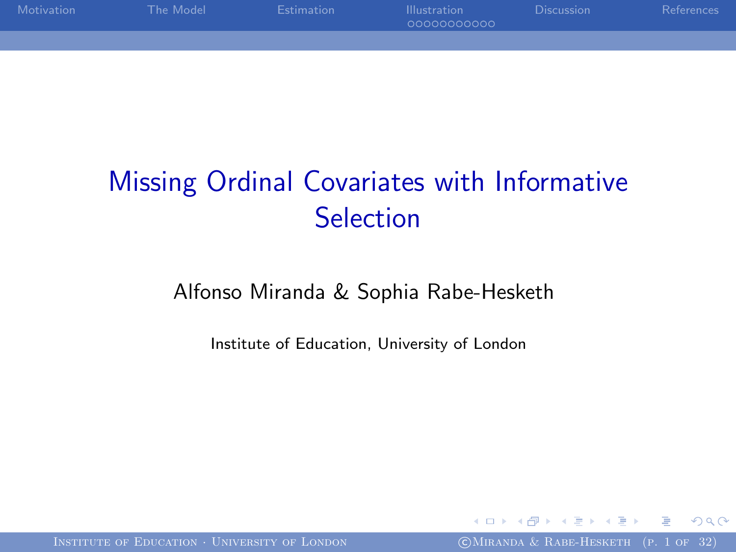| Motivation | The Model | <b>Estimation</b> | <b>Illustration</b><br>00000000000 | <b>Discussion</b> | References |
|------------|-----------|-------------------|------------------------------------|-------------------|------------|
|            |           |                   |                                    |                   |            |

# Missing Ordinal Covariates with Informative Selection

#### Alfonso Miranda & Sophia Rabe-Hesketh

Institute of Education, University of London

INSTITUTE OF EDUCATION · UNIVERSITY OF LONDON COMIRANDA & RABE-HESKETH (P. 1 OF 32)

<span id="page-0-0"></span>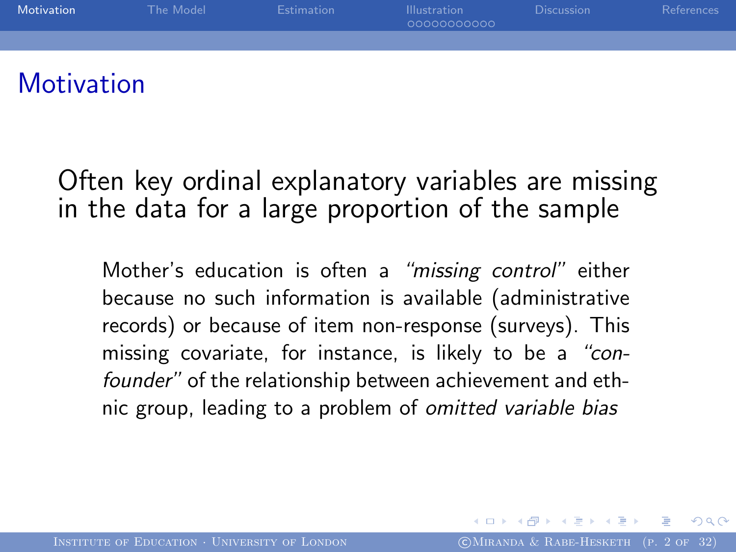

### **Motivation**

Often key ordinal explanatory variables are missing in the data for a large proportion of the sample

<span id="page-1-0"></span>Mother's education is often a "missing control" either because no such information is available (administrative records) or because of item non-response (surveys). This missing covariate, for instance, is likely to be a "confounder" of the relationship between achievement and ethnic group, leading to a problem of omitted variable bias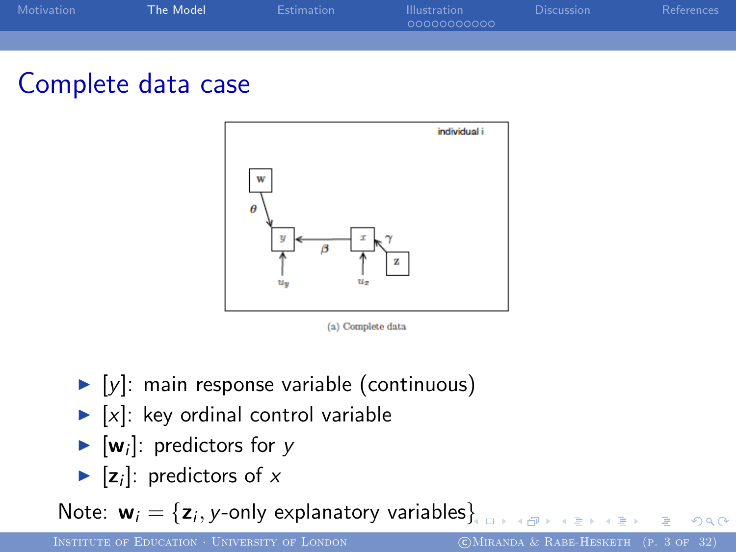| <b>Motivation</b> | The Model | <b>Estimation</b> | <b>Illustration</b><br>00000000000 | <b>Discussion</b> | References |
|-------------------|-----------|-------------------|------------------------------------|-------------------|------------|
|                   |           |                   |                                    |                   |            |

### Complete data case



<span id="page-2-0"></span>(a) Complete data

- $\blacktriangleright$  [y]: main response variable (continuous)
- $\blacktriangleright$  [x]: key ordinal control variable
- $\blacktriangleright$  [**w**<sub>i</sub>]: predictors for y
- $\blacktriangleright$  [z<sub>i</sub>]: predictors of x

Note:  $\mathbf{w}_i = \{\mathsf{z}_i,$  $\mathbf{w}_i = \{\mathsf{z}_i,$  $\mathbf{w}_i = \{\mathsf{z}_i,$  y-only explanatory variables $\}$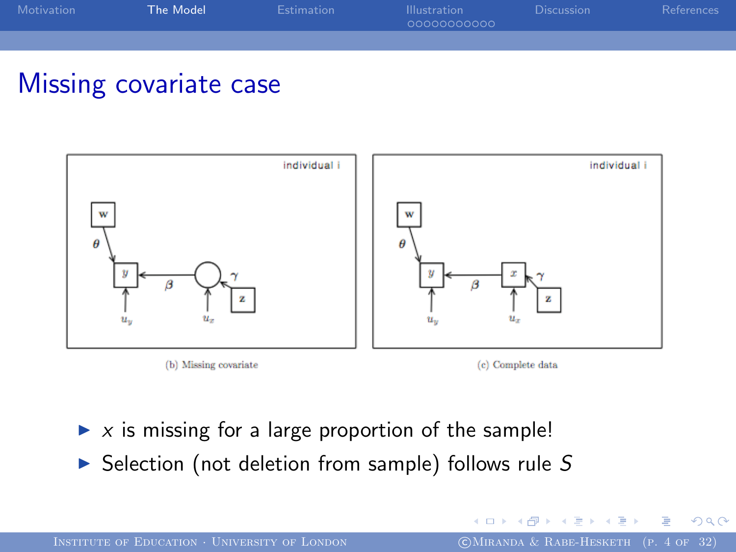| <b>Motivation</b> | The Model | <b>Estimation</b> | <b>Illustration</b><br>00000000000 | <b>Discussion</b> | References |
|-------------------|-----------|-------------------|------------------------------------|-------------------|------------|
|                   |           |                   |                                    |                   |            |

### Missing covariate case







- $\triangleright$  x is missing for a large proportion of the sample!
- $\triangleright$  Selection (not deletion from sample) follows rule S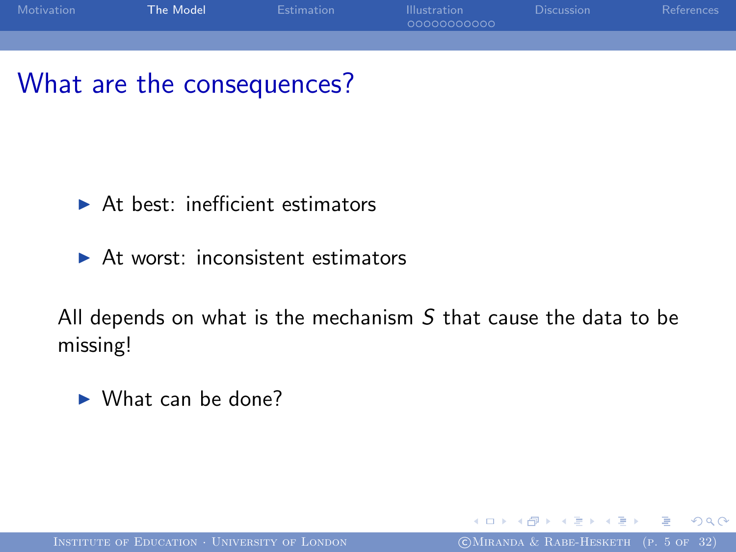

### What are the consequences?

- $\blacktriangleright$  At best: inefficient estimators
- $\triangleright$  At worst: inconsistent estimators

All depends on what is the mechanism  $S$  that cause the data to be missing!

 $\blacktriangleright$  What can be done?

∢∃⊁ ∢∄

<span id="page-4-0"></span>つへへ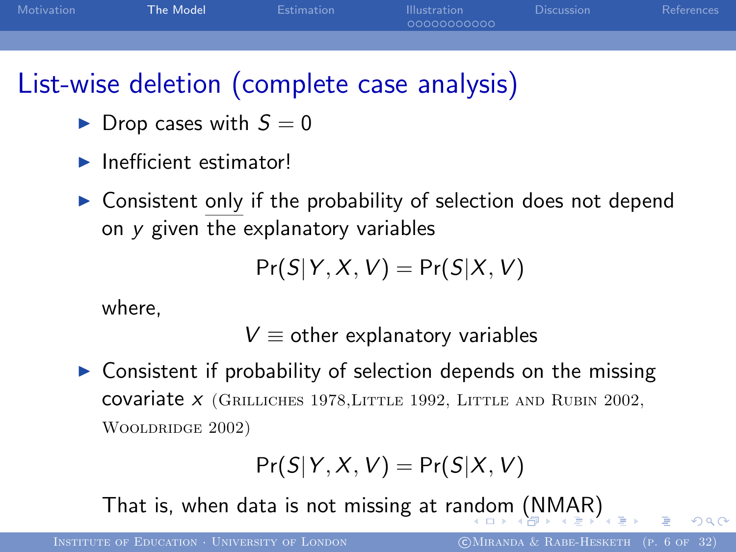| Motivation | The Model | Estimation | <b>Illustration</b><br>00000000000 | <b>Discussion</b> | References |
|------------|-----------|------------|------------------------------------|-------------------|------------|
|            |           |            |                                    |                   |            |

## List-wise deletion (complete case analysis)

- $\blacktriangleright$  Drop cases with  $S = 0$
- $\blacktriangleright$  Inefficient estimator!
- $\triangleright$  Consistent only if the probability of selection does not depend on y given the explanatory variables

$$
Pr(S|Y, X, V) = Pr(S|X, V)
$$

where,

 $V \equiv$  other explanatory variables

 $\triangleright$  Consistent if probability of selection depends on the missing covariate  $X$  (GRILLICHES 1978, LITTLE 1992, LITTLE AND RUBIN 2002, Wooldridge 2002)

<span id="page-5-0"></span>
$$
Pr(S|Y, X, V) = Pr(S|X, V)
$$

That is, when data is not missing at ra[nd](#page-4-0)o[m](#page-6-0)[\(N](#page-5-0)[M](#page-6-0)[A](#page-2-0)[R](#page-13-0)[\)](#page-14-0)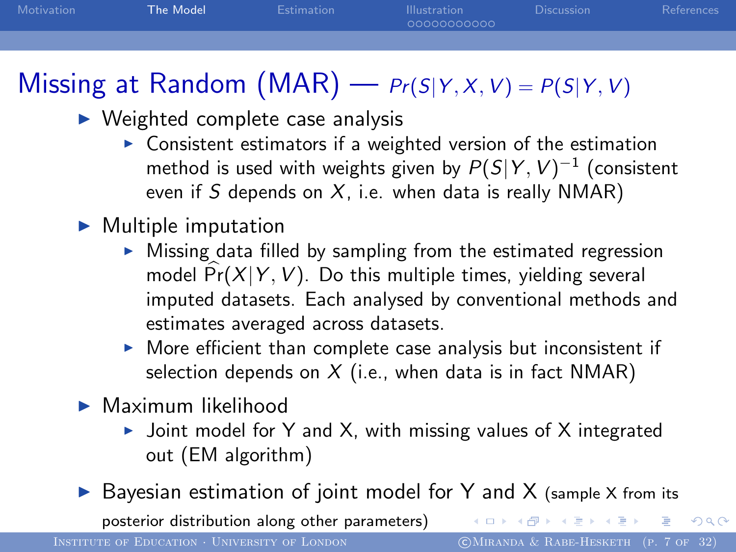| Motivation | The Model | <b>Estimation</b> | <b>Illustration</b><br>00000000000 | <b>Discussion</b> | References |
|------------|-----------|-------------------|------------------------------------|-------------------|------------|
|            |           |                   |                                    |                   |            |

# Missing at Random (MAR) —  $Pr(S|Y, X, V) = P(S|Y, V)$

- $\triangleright$  Weighted complete case analysis
	- $\triangleright$  Consistent estimators if a weighted version of the estimation method is used with weights given by  $P(S|Y,V)^{-1}$  (consistent even if S depends on  $X$ , i.e. when data is really NMAR)
- $\blacktriangleright$  Multiple imputation
	- $\triangleright$  Missing data filled by sampling from the estimated regression model  $\widehat{Pr}(X|Y, V)$ . Do this multiple times, yielding several imputed datasets. Each analysed by conventional methods and estimates averaged across datasets.
	- $\triangleright$  More efficient than complete case analysis but inconsistent if selection depends on  $X$  (i.e., when data is in fact NMAR)
- $\blacktriangleright$  Maximum likelihood
	- $\triangleright$  Joint model for Y and X, with missing values of X integrated out (EM algorithm)
- $\triangleright$  Bayesian estimation of joint model for Y and X (sample X from its

posterior distribution along other parameters)

INSTITUTE OF EDUCATION · UNIVERSITY OF LONDON COMIRANDA & RABE-HESKETH (P. 7 OF 32)

<span id="page-6-0"></span>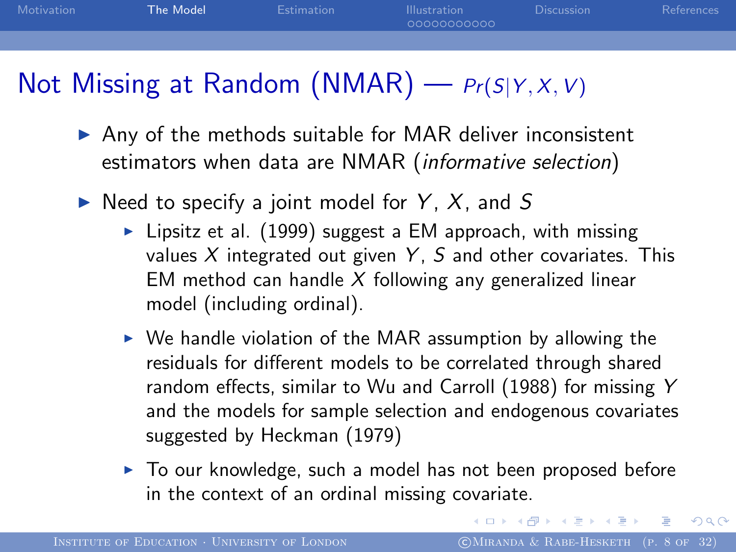| Motivation | The Model | Estimation | <b>Illustration</b><br>00000000000 | <b>Discussion</b> | References |
|------------|-----------|------------|------------------------------------|-------------------|------------|
|            |           |            |                                    |                   |            |

### Not Missing at Random (NMAR) —  $Pr(S|Y, X, V)$

- $\triangleright$  Any of the methods suitable for MAR deliver inconsistent estimators when data are NMAR (informative selection)
- $\blacktriangleright$  Need to specify a joint model for Y, X, and S
	- $\blacktriangleright$  Lipsitz et al. (1999) suggest a EM approach, with missing values  $X$  integrated out given  $Y$ ,  $S$  and other covariates. This EM method can handle  $X$  following any generalized linear model (including ordinal).
	- $\triangleright$  We handle violation of the MAR assumption by allowing the residuals for different models to be correlated through shared random effects, similar to Wu and Carroll (1988) for missing Y and the models for sample selection and endogenous covariates suggested by Heckman (1979)
	- $\triangleright$  To our knowledge, such a model has not been proposed before in the context of an ordinal missing covariate.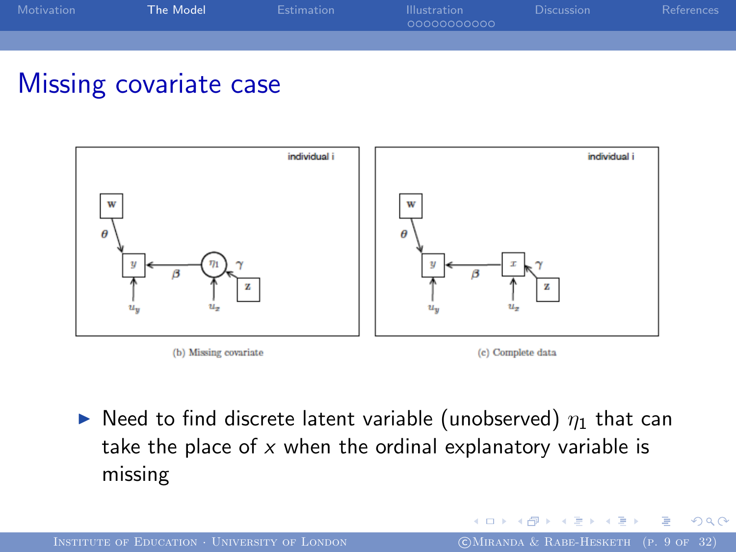| Motivation | The Model | <b>Estimation</b> | <b>Illustration</b><br>00000000000 | <b>Discussion</b> | References |
|------------|-----------|-------------------|------------------------------------|-------------------|------------|
|            |           |                   |                                    |                   |            |

### Missing covariate case



 $\triangleright$  Need to find discrete latent variable (unobserved)  $\eta_1$  that can take the place of  $x$  when the ordinal explanatory variable is missing

つくへ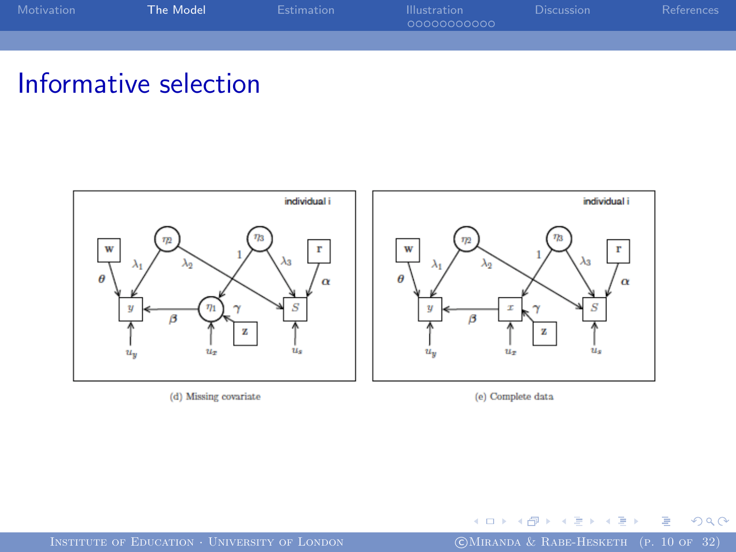| Motivation | The Model | <b>Estimation</b> | <b>Illustration</b><br>00000000000 | <b>Discussion</b> | References |
|------------|-----------|-------------------|------------------------------------|-------------------|------------|
|            |           |                   |                                    |                   |            |

### Informative selection



(d) Missing covariate

(e) Complete data

4 0 8 × 冊  $\sim$  $\mathcal{A}$  .

INSTITUTE OF EDUCATION · UNIVERSITY OF LONDON (CMIRANDA & RABE-HESKETH (P. 10 OF 32)

э  $\mathbf{r}_\mathrm{c}$ 

Þ

×.

 $\mathbf{h}$ ∍  $290$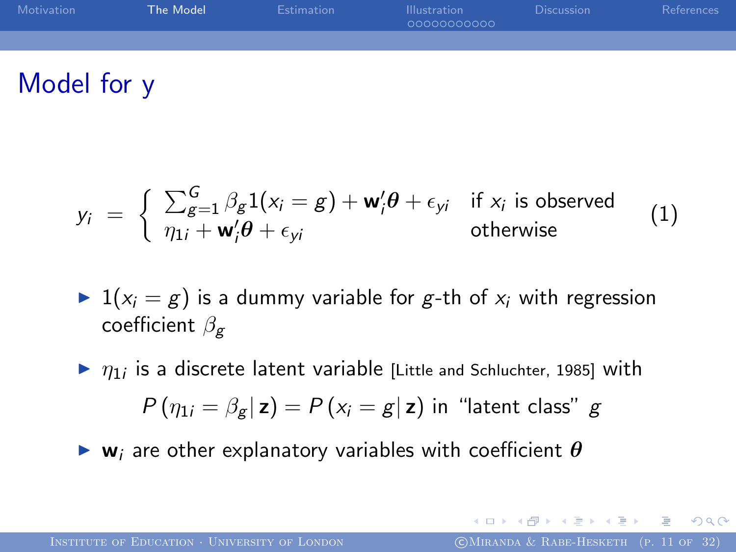| Motivation | The Model | Estimation | <b>Illustration</b><br>00000000000 | Discussion | References |
|------------|-----------|------------|------------------------------------|------------|------------|
|            |           |            |                                    |            |            |
|            |           |            |                                    |            |            |

### Model for y

$$
y_i = \begin{cases} \sum_{g=1}^{G} \beta_g 1(x_i = g) + \mathbf{w}'_i \theta + \epsilon_{yi} & \text{if } x_i \text{ is observed} \\ \eta_{1i} + \mathbf{w}'_i \theta + \epsilon_{yi} & \text{otherwise} \end{cases}
$$
 (1)

- $\blacktriangleright$  1( $x_i = g$ ) is a dummy variable for g-th of  $x_i$  with regression coefficient  $\beta_{\mathbf{g}}$
- $\blacktriangleright$   $\eta_1$  is a discrete latent variable [Little and Schluchter, 1985] with  $P(\eta_{1i} = \beta_{\alpha} | \mathbf{z}) = P(x_i = g | \mathbf{z})$  in "latent class" g
- $\triangleright$  w<sub>i</sub> are other explanatory variables with coefficient  $\theta$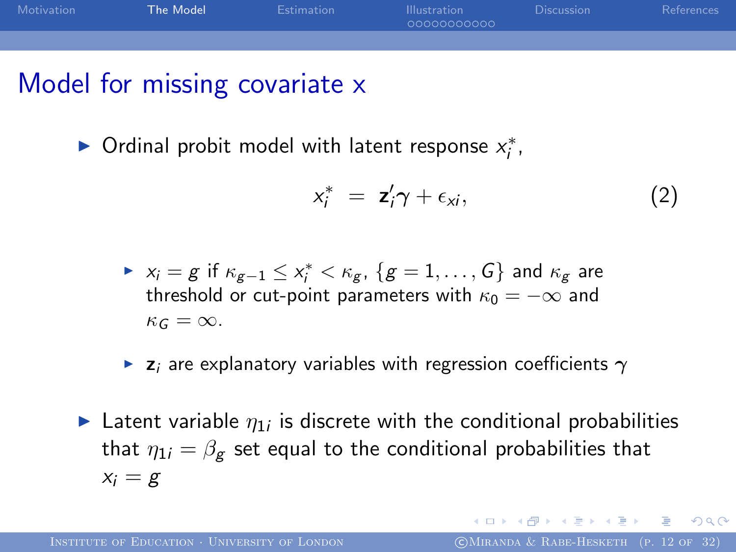

### Model for missing covariate x

▶ Ordinal probit model with latent response  $x_i^*$ ,

$$
x_i^* = z_i' \gamma + \epsilon_{xi}, \qquad (2)
$$

- $\triangleright$   $x_i = g$  if  $\kappa_{g-1} \leq x_i^* < \kappa_g$ ,  $\{g = 1, \ldots, G\}$  and  $\kappa_g$  are threshold or cut-point parameters with  $\kappa_0 = -\infty$  and  $\kappa_G = \infty$ .
- **E** z<sub>i</sub> are explanatory variables with regression coefficients  $\gamma$
- **Latent variable**  $\eta_{1i}$  is discrete with the conditional probabilities that  $\eta_{1i} = \beta_{\mathbf{g}}$  set equal to the conditional probabilities that  $x_i = g$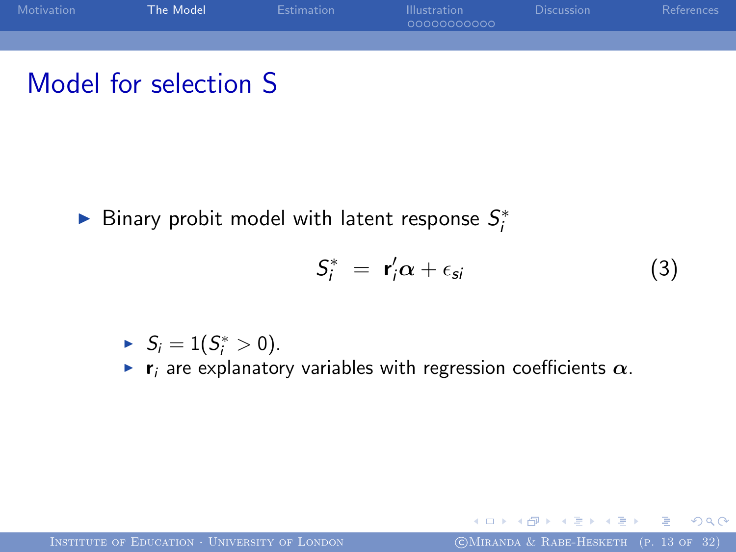

### Model for selection S

▶ Binary probit model with latent response  $S_i^*$ 

$$
S_i^* = \mathbf{r}_i' \alpha + \epsilon_{si} \tag{3}
$$

<span id="page-12-0"></span>and in

$$
\blacktriangleright S_i = 1(S_i^* > 0).
$$

 $\blacktriangleright$  r<sub>i</sub> are explanatory variables with regression coefficients  $\alpha$ .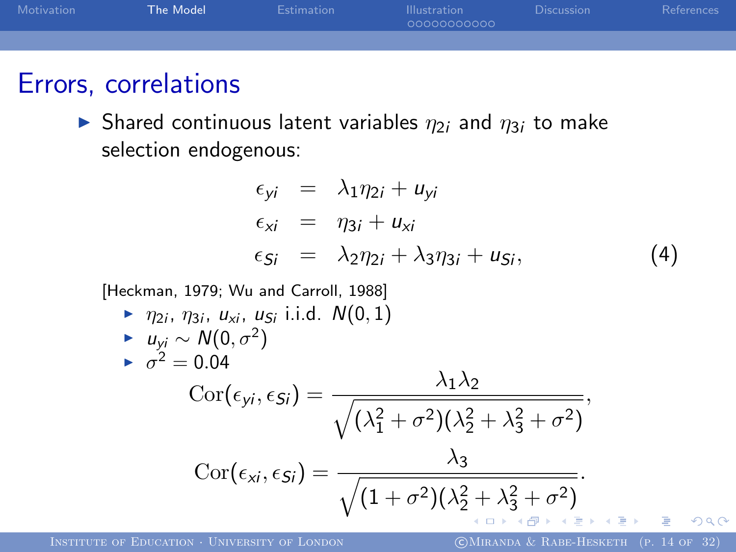

#### Errors, correlations

 $\triangleright$  Shared continuous latent variables  $\eta_{2i}$  and  $\eta_{3i}$  to make selection endogenous:

<span id="page-13-0"></span>
$$
\epsilon_{yi} = \lambda_1 \eta_{2i} + u_{yi}
$$
  
\n
$$
\epsilon_{xi} = \eta_{3i} + u_{xi}
$$
  
\n
$$
\epsilon_{Si} = \lambda_2 \eta_{2i} + \lambda_3 \eta_{3i} + u_{Si},
$$
\n(4)

[Heckman, 1979; Wu and Carroll, 1988]

▶ 
$$
\eta_{2i}
$$
,  $\eta_{3i}$ ,  $u_{xi}$ ,  $u_{5i}$  i.i.d.  $N(0, 1)$   
\n▶  $u_{yi} \sim N(0, \sigma^2)$   
\n▶  $\sigma^2 = 0.04$   
\n
$$
\text{Cor}(\epsilon_{yi}, \epsilon_{Si}) = \frac{\lambda_1 \lambda_2}{\sqrt{(\lambda_1^2 + \sigma^2)(\lambda_2^2 + \lambda_3^2 + \sigma^2)}},
$$
\n
$$
\text{Cor}(\epsilon_{xi}, \epsilon_{Si}) = \frac{\lambda_3}{\sqrt{(1 + \sigma^2)(\lambda_2^2 + \lambda_3^2 + \sigma^2)}}.
$$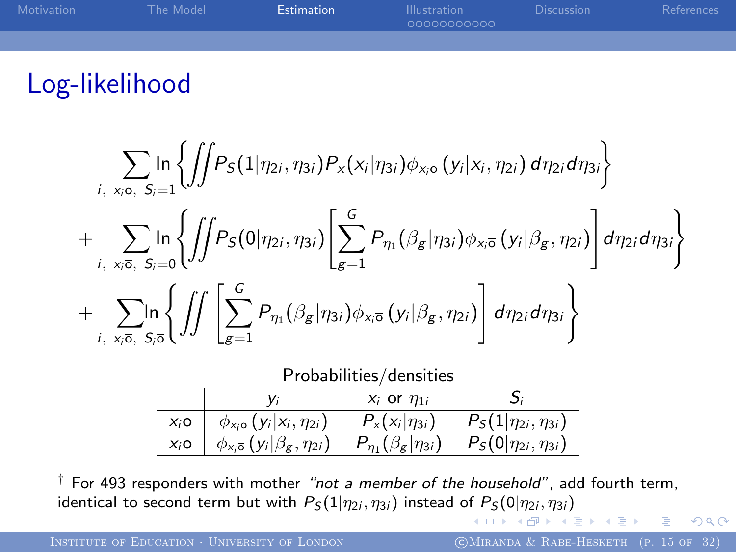| Motivation | The Model | <b>Estimation</b> | <b>Illustration</b><br>00000000000 | <b>Discussion</b> | References |
|------------|-----------|-------------------|------------------------------------|-------------------|------------|
|            |           |                   |                                    |                   |            |
|            |           |                   |                                    |                   |            |

### Log-likelihood

$$
\sum_{i, x_{i}, x_{i}, s_{i}} \ln \left\{ \iint P_{S}(1 | \eta_{2i}, \eta_{3i}) P_{x}(x_{i} | \eta_{3i}) \phi_{x_{i},}(y_{i} | x_{i}, \eta_{2i}) d\eta_{2i} d\eta_{3i} \right\} + \sum_{i, x_{i}, \overline{s}, s_{i} = 0} \left\{ \iint P_{S}(0 | \eta_{2i}, \eta_{3i}) \left[ \sum_{g=1}^{G} P_{\eta_{1}}(\beta_{g} | \eta_{3i}) \phi_{x_{i},\overline{s}}(y_{i} | \beta_{g}, \eta_{2i}) \right] d\eta_{2i} d\eta_{3i} \right\} + \sum_{i, x_{i}, \overline{s}, s_{i}, \overline{s}, \overline{s}} \ln \left\{ \iint \left[ \sum_{g=1}^{G} P_{\eta_{1}}(\beta_{g} | \eta_{3i}) \phi_{x_{i},\overline{s}}(y_{i} | \beta_{g}, \eta_{2i}) \right] d\eta_{2i} d\eta_{3i} \right\} \nProbabilities/densities \n
$$
\frac{y_{i}}{x_{i}, \overline{s}, \overline{s}} \frac{y_{i}}{\phi_{x_{i},\overline{s}}(y_{i} | \beta_{g}, \eta_{2i})} \frac{P_{x}(x_{i} | \eta_{3i}) P_{S}(1 | \eta_{2i}, \eta_{3i})}{P_{S}(1 | \eta_{2i}, \eta_{3i})}
$$
$$

<span id="page-14-0"></span> $\dagger$  For 493 responders with mother "not a member of the household", add fourth term, identical to second term but with  $P_{\cal S}(1|\eta_{2i},\eta_{3i})$  $P_{\cal S}(1|\eta_{2i},\eta_{3i})$  $P_{\cal S}(1|\eta_{2i},\eta_{3i})$  $P_{\cal S}(1|\eta_{2i},\eta_{3i})$  $P_{\cal S}(1|\eta_{2i},\eta_{3i})$  $P_{\cal S}(1|\eta_{2i},\eta_{3i})$  $P_{\cal S}(1|\eta_{2i},\eta_{3i})$  instead of  $P_{\cal S}(0|\eta_{2i},\eta_{3i})$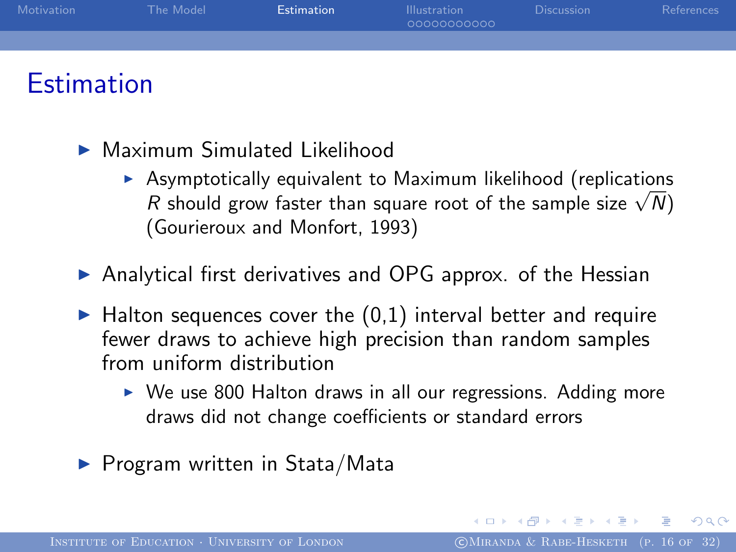

### **Estimation**

- $\blacktriangleright$  Maximum Simulated Likelihood
	- $\triangleright$  Asymptotically equivalent to Maximum likelihood (replications Asymptotically equivalent to Maximum likelinood (replications<br>R should grow faster than square root of the sample size  $\sqrt{N}$ ) (Gourieroux and Monfort, 1993)
- $\triangleright$  Analytical first derivatives and OPG approx. of the Hessian
- $\blacktriangleright$  Halton sequences cover the  $(0,1)$  interval better and require fewer draws to achieve high precision than random samples from uniform distribution
	- $\triangleright$  We use 800 Halton draws in all our regressions. Adding more draws did not change coefficients or standard errors
- <span id="page-15-0"></span> $\blacktriangleright$  Program written in Stata/Mata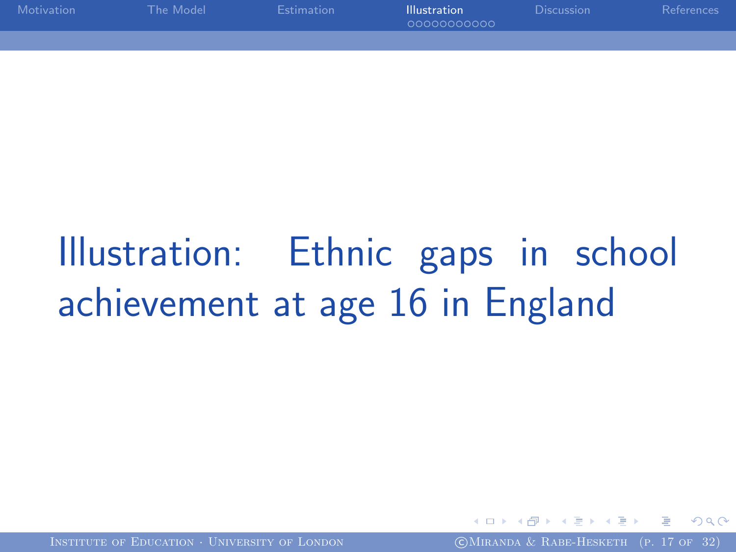| Motivation | The Model | Estimation | <b>Illustration</b><br>00000000000 | <b>Discussion</b> | References |
|------------|-----------|------------|------------------------------------|-------------------|------------|
|            |           |            |                                    |                   |            |

# Illustration: Ethnic gaps in school achievement at age 16 in England

INSTITUTE OF EDUCATION · UNIVERSITY OF LONDON (COMIRANDA & RABE-HESKETH (P. 17 OF 32)

<span id="page-16-0"></span>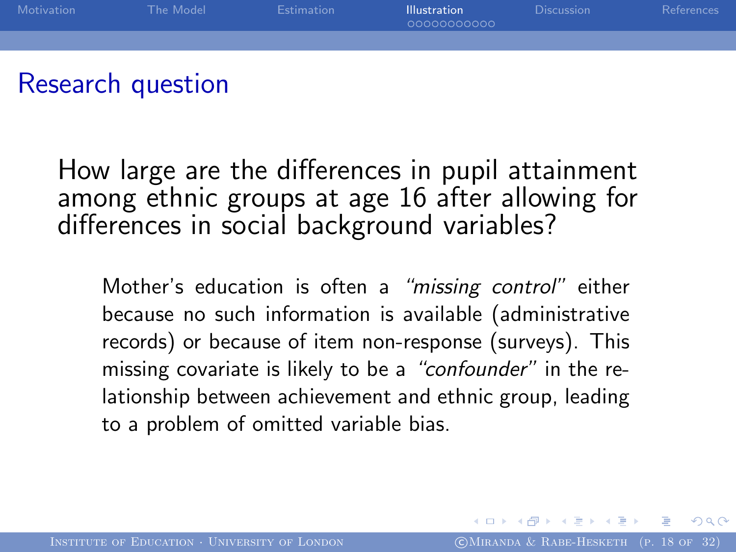

### Research question

How large are the differences in pupil attainment among ethnic groups at age 16 after allowing for differences in social background variables?

Mother's education is often a "missing control" either because no such information is available (administrative records) or because of item non-response (surveys). This missing covariate is likely to be a "confounder" in the relationship between achievement and ethnic group, leading to a problem of omitted variable bias.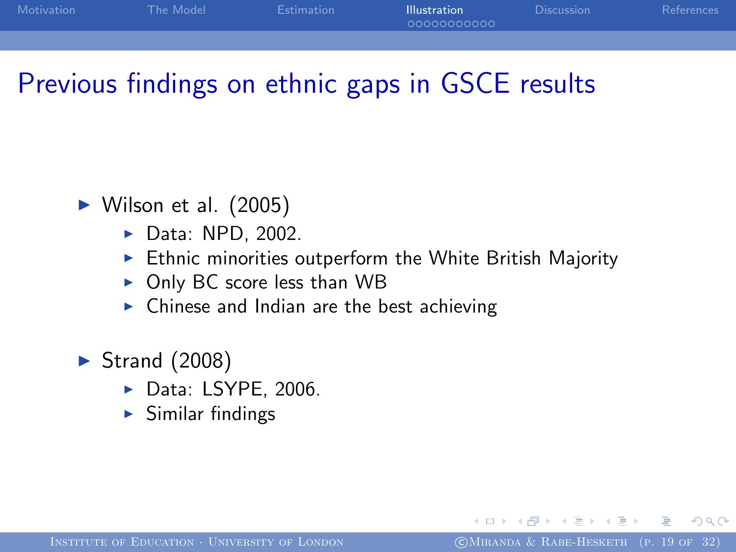| Motivation | The Model | Estimation | <b>Illustration</b><br>00000000000 | Discussion | <b>References</b> |
|------------|-----------|------------|------------------------------------|------------|-------------------|
|            |           |            |                                    |            |                   |

### Previous findings on ethnic gaps in GSCE results

- $\blacktriangleright$  Wilson et al. (2005)
	- $\blacktriangleright$  Data: NPD, 2002.
	- $\triangleright$  Ethnic minorities outperform the White British Majority
	- $\triangleright$  Only BC score less than WB
	- $\triangleright$  Chinese and Indian are the best achieving
- $\blacktriangleright$  Strand (2008)
	- $\blacktriangleright$  Data: LSYPE, 2006.
	- $\blacktriangleright$  Similar findings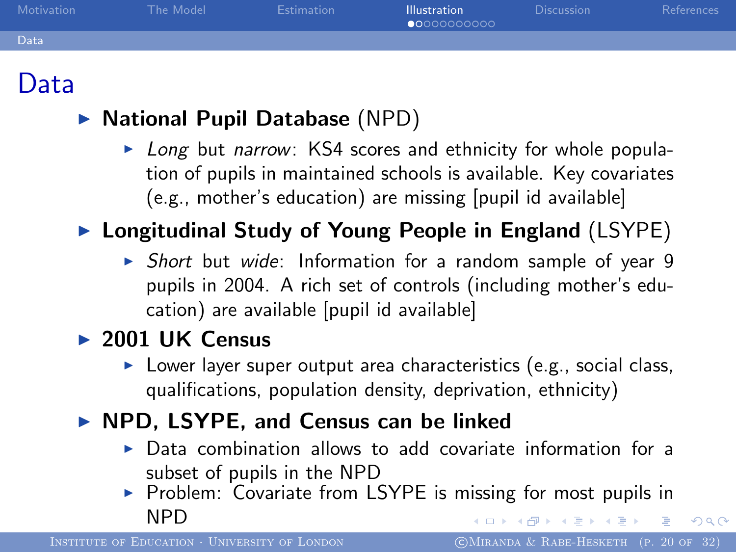| Motivation | The Model | <b>Estimation</b> | <b>Illustration</b><br>00000000000 | <b>Discussion</b> | References |
|------------|-----------|-------------------|------------------------------------|-------------------|------------|
| Data       |           |                   |                                    |                   |            |
|            |           |                   |                                    |                   |            |

### Data

#### $\triangleright$  National Pupil Database (NPD)

 $\triangleright$  Long but narrow: KS4 scores and ethnicity for whole population of pupils in maintained schools is available. Key covariates (e.g., mother's education) are missing [pupil id available]

### $\blacktriangleright$  Longitudinal Study of Young People in England (LSYPE)

 $\triangleright$  Short but wide: Information for a random sample of year 9 pupils in 2004. A rich set of controls (including mother's education) are available [pupil id available]

#### $\blacktriangleright$  2001 UK Census

 $\triangleright$  Lower layer super output area characteristics (e.g., social class, qualifications, population density, deprivation, ethnicity)

#### $\triangleright$  NPD, LSYPE, and Census can be linked

- $\triangleright$  Data combination allows to add covariate information for a subset of pupils in the NPD
- Problem: Covariate from LSYPE is missing for most pupils in **NPD** イ何 トイヨ トイヨ トー ヨ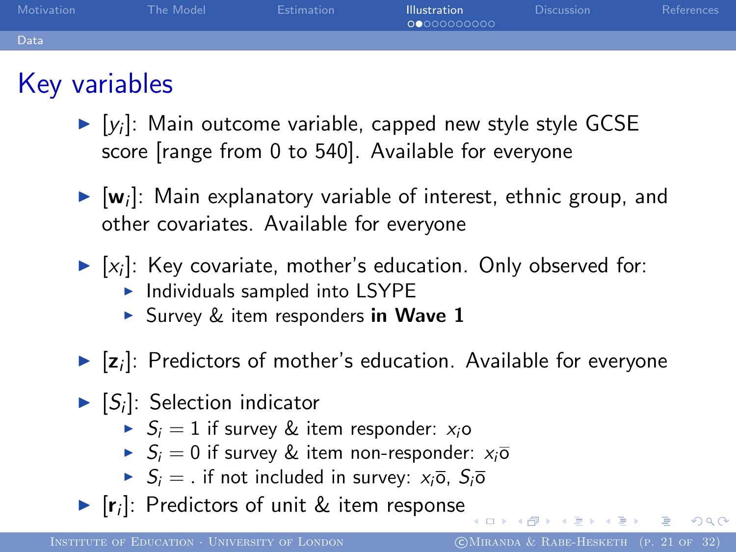| Motivation | The Model | Estimation | <b>Illustration</b><br>00000000000 | <b>Discussion</b> | References |
|------------|-----------|------------|------------------------------------|-------------------|------------|
| Data       |           |            |                                    |                   |            |
|            |           |            |                                    |                   |            |

# Key variables

- $\blacktriangleright$  [y<sub>i</sub>]: Main outcome variable, capped new style style GCSE score [range from 0 to 540]. Available for everyone
- $\blacktriangleright$  [w<sub>i</sub>]: Main explanatory variable of interest, ethnic group, and other covariates. Available for everyone
- $\blacktriangleright$  [x<sub>i</sub>]: Key covariate, mother's education. Only observed for:
	- $\blacktriangleright$  Individuals sampled into LSYPE
	- Survey & item responders in Wave  $1$
- $\blacktriangleright$  [ $z_i$ ]: Predictors of mother's education. Available for everyone
- $\blacktriangleright$  [S<sub>i</sub>]: Selection indicator
	- $\triangleright$   $S_i = 1$  if survey & item responder:  $x_i$ o
	- $S_i = 0$  if survey & item non-responder:  $x_i\overline{o}$
	- $\triangleright$   $S_i =$ . if not included in survey:  $x_i\overline{o}$ ,  $S_i\overline{o}$
- $\blacktriangleright$  [r<sub>i</sub>]: Predictors of unit & item response

 $\mathbb{B} \rightarrow \mathbb{R} \oplus \mathbb{R} \rightarrow \mathbb{R} \oplus \mathbb{R}$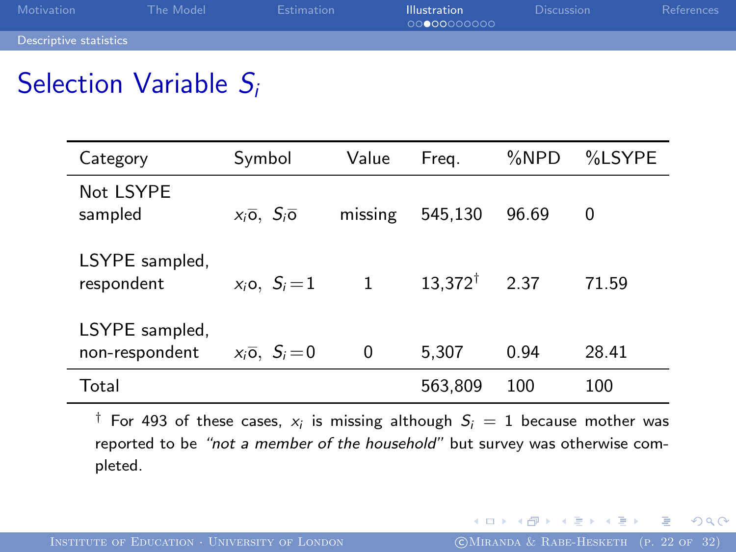| Motivation             | The Model | <b>Estimation</b> | <b>Illustration</b><br>00000000000 | <b>Discussion</b> | References |
|------------------------|-----------|-------------------|------------------------------------|-------------------|------------|
| Descriptive statistics |           |                   |                                    |                   |            |

### Selection Variable S<sub>i</sub>

×

| Category                         | Symbol                                | Value        | Freg.              | %NPD  | %LSYPE |
|----------------------------------|---------------------------------------|--------------|--------------------|-------|--------|
| Not LSYPE<br>sampled             | $x_i\overline{o}$ , $S_i\overline{o}$ | missing      | 545,130            | 96.69 | 0      |
| LSYPE sampled.<br>respondent     | $x_i$ o, $S_i = 1$                    | $\mathbf{1}$ | $13.372^{\dagger}$ | 2.37  | 71.59  |
| LSYPE sampled,<br>non-respondent | $x_i\overline{o}$ , $S_i=0$           | 0            | 5,307              | 0.94  | 28.41  |
| Total                            |                                       |              | 563,809            | 100   | 100    |

 $\dagger$  For 493 of these cases,  $x_i$  is missing although  $S_i\,=\,1$  because mother was reported to be "not a member of the household" but survey was otherwise completed.

重

**SALE**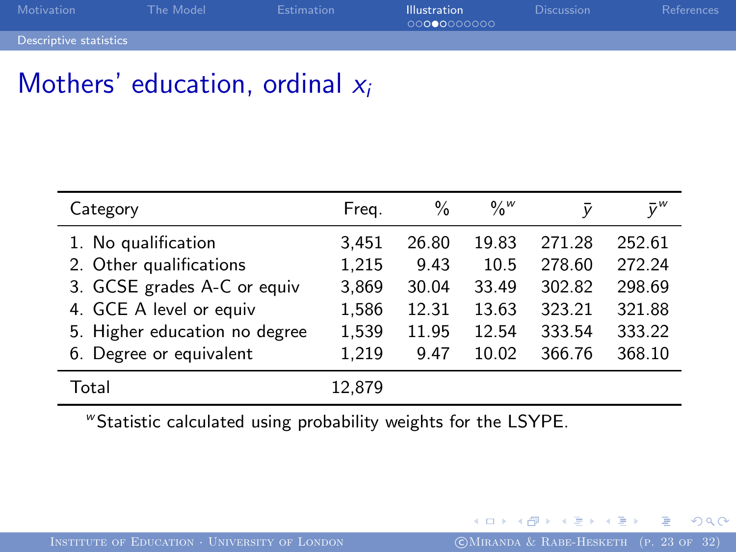| Motivation             | The Model | <b>Estimation</b> | <b>Illustration</b><br>00000000000 | <b>Discussion</b> | References |
|------------------------|-----------|-------------------|------------------------------------|-------------------|------------|
| Descriptive statistics |           |                   |                                    |                   |            |

### Mothers' education, ordinal  $x_i$

| Category                      | Freg.  | $\frac{0}{0}$ | $\frac{0}{0}$ <sup>w</sup> | v      | $\bar{v}^w$ |
|-------------------------------|--------|---------------|----------------------------|--------|-------------|
| 1. No qualification           | 3,451  | 26.80         | 19.83                      | 271.28 | 252.61      |
| 2. Other qualifications       | 1,215  | 9.43          | 10.5                       | 278.60 | 272.24      |
| 3. GCSE grades A-C or equiv   | 3,869  | 30.04         | 33.49                      | 302.82 | 298.69      |
| 4. GCE A level or equiv       | 1,586  | 12.31         | 13.63                      | 323.21 | 321.88      |
| 5. Higher education no degree | 1,539  | 11.95         | 12.54                      | 333.54 | 333.22      |
| 6. Degree or equivalent       | 1,219  | 9.47          | 10.02                      | 366.76 | 368.10      |
| Total                         | 12.879 |               |                            |        |             |

<sup>w</sup> Statistic calculated using probability weights for the LSYPE.

<span id="page-22-0"></span>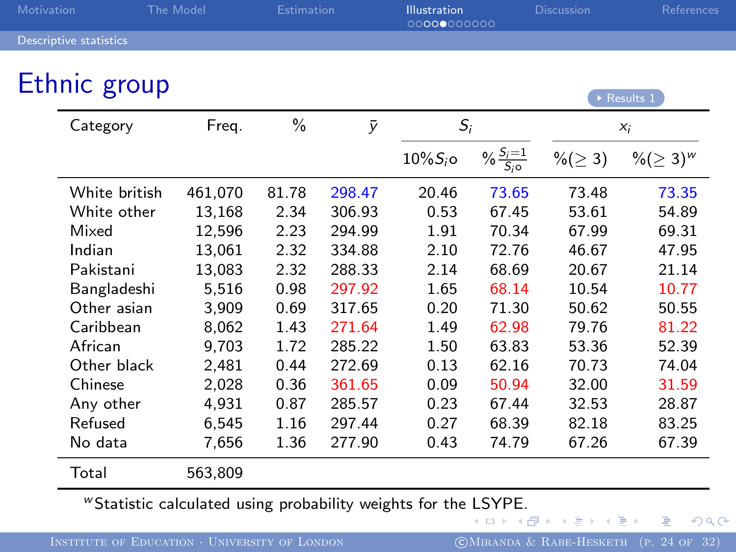<span id="page-23-1"></span>

| Motivation |                               | <b>The Model</b> | <b>Estimation</b> |           | <b>Illustration</b><br>00000000000 |                     | <b>Discussion</b>      | References                 |
|------------|-------------------------------|------------------|-------------------|-----------|------------------------------------|---------------------|------------------------|----------------------------|
|            | <b>Descriptive statistics</b> |                  |                   |           |                                    |                     |                        |                            |
|            | Ethnic group                  |                  |                   |           |                                    |                     |                        |                            |
|            |                               |                  |                   |           |                                    |                     |                        | $\triangleright$ Results 1 |
|            | Category                      | Freq.            | $\%$              | $\bar{y}$ | $S_i$                              |                     |                        | $x_i$                      |
|            |                               |                  |                   |           | $10\%S_i$ o                        | $\frac{S_i=1}{S_i}$ | $\frac{9}{6} (\geq 3)$ | %(≥ 3) <sup>w</sup>        |
|            | White british                 | 461,070          | 81.78             | 298.47    | 20.46                              | 73.65               | 73.48                  | 73.35                      |
|            | White other                   | 13,168           | 2.34              | 306.93    | 0.53                               | 67.45               | 53.61                  | 54.89                      |
|            | Mixed                         | 12,596           | 2.23              | 294.99    | 1.91                               | 70.34               | 67.99                  | 69.31                      |
|            | Indian                        | 13,061           | 2.32              | 334.88    | 2.10                               | 72.76               | 46.67                  | 47.95                      |
|            | Pakistani                     | 13,083           | 2.32              | 288.33    | 2.14                               | 68.69               | 20.67                  | 21.14                      |
|            | Bangladeshi                   | 5,516            | 0.98              | 297.92    | 1.65                               | 68.14               | 10.54                  | 10.77                      |
|            | Other asian                   | 3,909            | 0.69              | 317.65    | 0.20                               | 71.30               | 50.62                  | 50.55                      |
|            | Caribbean                     | 8,062            | 1.43              | 271.64    | 1.49                               | 62.98               | 79.76                  | 81.22                      |
|            | African                       | 9,703            | 1.72              | 285.22    | 1.50                               | 63.83               | 53.36                  | 52.39                      |
|            | Other black                   | 2,481            | 0.44              | 272.69    | 0.13                               | 62.16               | 70.73                  | 74.04                      |
|            | Chinese                       | 2,028            | 0.36              | 361.65    | 0.09                               | 50.94               | 32.00                  | 31.59                      |
|            | Any other                     | 4,931            | 0.87              | 285.57    | 0.23                               | 67.44               | 32.53                  | 28.87                      |
|            | Refused                       | 6,545            | 1.16              | 297.44    | 0.27                               | 68.39               | 82.18                  | 83.25                      |
|            | No data                       | 7,656            | 1.36              | 277.90    | 0.43                               | 74.79               | 67.26                  | 67.39                      |
|            | Total                         | 563,809          |                   |           |                                    |                     |                        |                            |

**"Statistic calculated using probability weights for the [LS](#page-22-0)[YP](#page-24-0)[E](#page-22-0)[.](#page-23-0)**<br> $\iff$   $\iff$   $\iff$   $\iff$   $\iff$   $\iff$   $\iff$ 

<span id="page-23-0"></span> $299$ 

活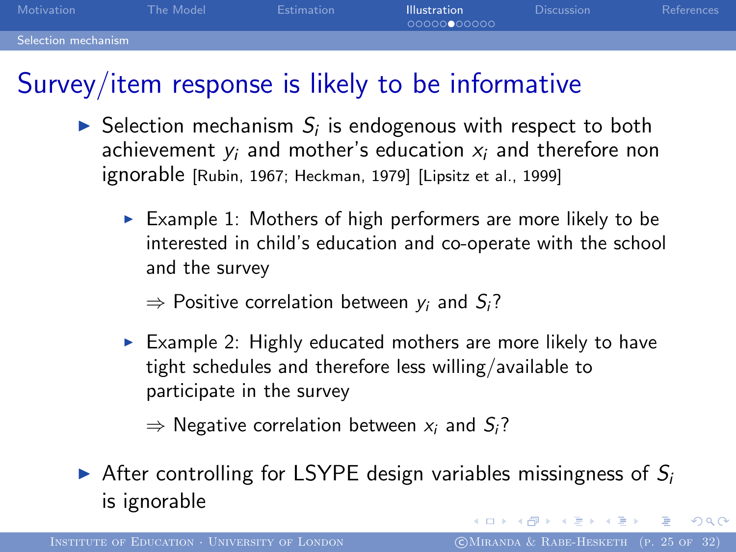| Motivation          | The Model | <b>Estimation</b> | <b>Illustration</b><br>00000000000 | <b>Discussion</b> | References |
|---------------------|-----------|-------------------|------------------------------------|-------------------|------------|
| Selection mechanism |           |                   |                                    |                   |            |

### Survey/item response is likely to be informative

- $\blacktriangleright$  Selection mechanism  $S_i$  is endogenous with respect to both achievement  $y_i$  and mother's education  $x_i$  and therefore non ignorable [Rubin, 1967; Heckman, 1979] [Lipsitz et al., 1999]
	- Example 1: Mothers of high performers are more likely to be interested in child's education and co-operate with the school and the survey
		- $\Rightarrow$  Positive correlation between  $y_i$  and  $S_i$ ?
	- Example 2: Highly educated mothers are more likely to have tight schedules and therefore less willing/available to participate in the survey

<span id="page-24-0"></span> $\Rightarrow$  Negative correlation between  $x_i$  and  $S_i$ ?

After controlling for LSYPE design variables missingness of  $S_i$ is ignorable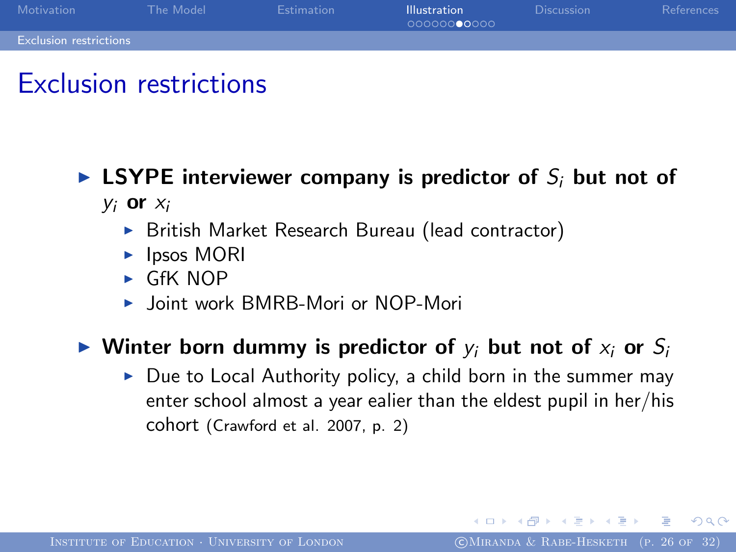

### Exclusion restrictions

#### **EXTE** interviewer company is predictor of  $S_i$  but not of  $y_i$  or  $x_i$

- ▶ British Market Research Bureau (lead contractor)
- $\blacktriangleright$  Ipsos MORI
- $\triangleright$  GfK NOP
- ▶ Joint work BMRB-Mori or NOP-Mori

#### $\triangleright$  Winter born dummy is predictor of  $y_i$  but not of  $x_i$  or  $S_i$

 $\triangleright$  Due to Local Authority policy, a child born in the summer may enter school almost a year ealier than the eldest pupil in her/his cohort (Crawford et al. 2007, p. 2)

 $200$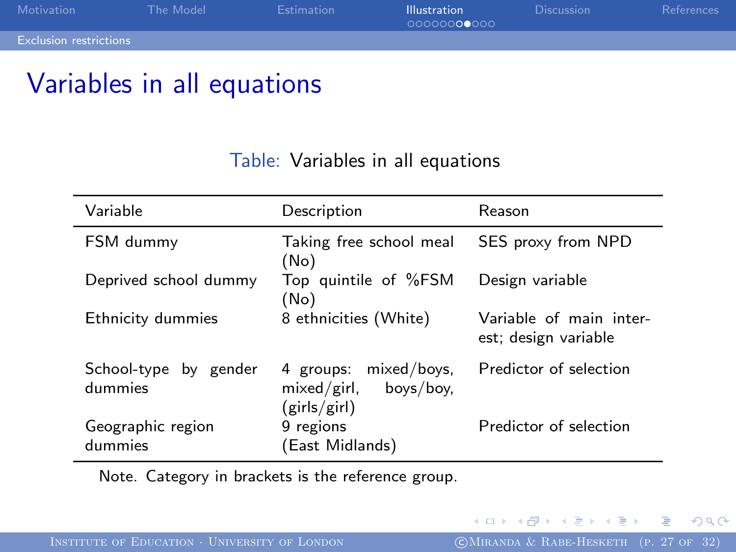| Motivation                    | The Model | <b>Estimation</b> | <b>Illustration</b><br>00000000000 | <b>Discussion</b> | References |
|-------------------------------|-----------|-------------------|------------------------------------|-------------------|------------|
| <b>Exclusion restrictions</b> |           |                   |                                    |                   |            |

### Variables in all equations

#### Table: Variables in all equations

| Variable                         | Description                                                       | Reason                                          |
|----------------------------------|-------------------------------------------------------------------|-------------------------------------------------|
| FSM dummy                        | Taking free school meal<br>(No)                                   | SES proxy from NPD                              |
| Deprived school dummy            | Top quintile of %FSM<br>(No)                                      | Design variable                                 |
| Ethnicity dummies                | 8 ethnicities (White)                                             | Variable of main inter-<br>est; design variable |
| School-type by gender<br>dummies | 4 groups: mixed/boys.<br>$mixed/girl$ , boys/boy,<br>(girls/girl) | Predictor of selection                          |
| Geographic region<br>dummies     | 9 regions<br>(East Midlands)                                      | Predictor of selection                          |

Note. Category in brackets is the reference group.

<span id="page-26-0"></span>造  $\sim$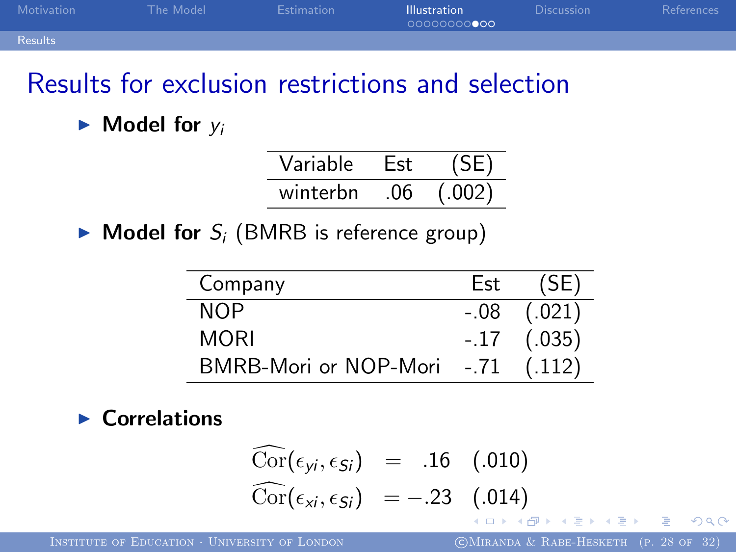| Motivation | The Model | Estimation | <b>Illustration</b><br>00000000000 | <b>Discussion</b> | References |
|------------|-----------|------------|------------------------------------|-------------------|------------|
| Results    |           |            |                                    |                   |            |

### Results for exclusion restrictions and selection

 $\blacktriangleright$  Model for  $y_i$ 

| Variable |    |       |
|----------|----|-------|
| winterbn | በ6 | (002) |

 $\blacktriangleright$  Model for  $S_i$  (BMRB is reference group)

۰

| Company               | Est    | (SE)            |
|-----------------------|--------|-----------------|
| NOP                   |        | $-.08$ $(.021)$ |
| MORI                  |        | $-.17$ $(.035)$ |
| BMRB-Mori or NOP-Mori | $-.71$ | (.112)          |

#### $\blacktriangleright$  Correlations

$$
\begin{array}{rcl}\n\widehat{\text{Cor}}(\epsilon_{yi}, \epsilon_{Si}) & = & .16 & (.010) \\
\widehat{\text{Cor}}(\epsilon_{xi}, \epsilon_{Si}) & = -.23 & (.014)\n\end{array}
$$

INSTITUTE OF EDUCATION · UNIVERSITY OF LONDON (CMIRANDA & RABE-HESKETH (P. 28 OF 32)

<span id="page-27-0"></span>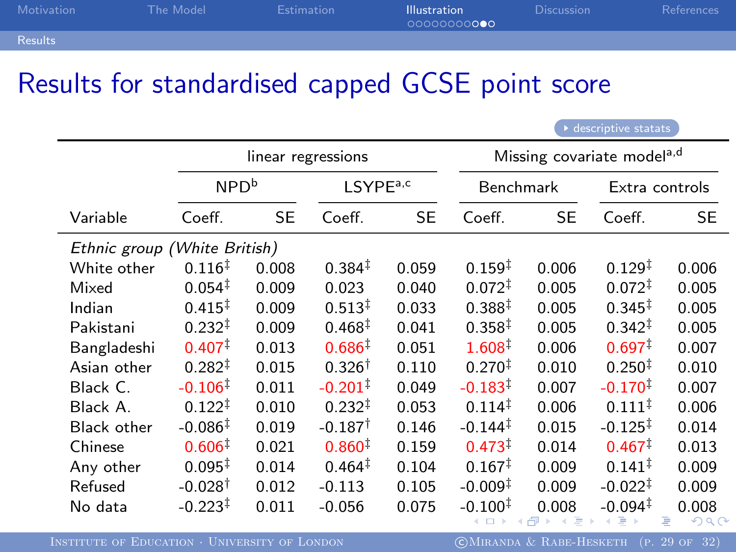| Motivation     | The Model | Estimation | <b>Illustration</b><br>00000000000 | <b>Discussion</b> | References |
|----------------|-----------|------------|------------------------------------|-------------------|------------|
| <b>Results</b> |           |            |                                    |                   |            |

### Results for standardised capped GCSE point score

<span id="page-28-0"></span>

| $\frac{1}{2}$                |                       |           |                       |                                        |                     |       |                       |       |
|------------------------------|-----------------------|-----------|-----------------------|----------------------------------------|---------------------|-------|-----------------------|-------|
|                              | linear regressions    |           |                       | Missing covariate model <sup>a,d</sup> |                     |       |                       |       |
|                              | NPD <sup>b</sup>      |           | LSYPE <sup>a,c</sup>  |                                        | <b>Benchmark</b>    |       | Extra controls        |       |
| Variable                     | Coeff.                | <b>SE</b> | Coeff.                | <b>SE</b>                              | Coeff.              | SE    | Coeff.                | SE    |
| Ethnic group (White British) |                       |           |                       |                                        |                     |       |                       |       |
| White other                  | $0.116^{\ddagger}$    | 0.008     | $0.384*$              | 0.059                                  | $0.159^{\ddagger}$  | 0.006 | $0.129^{\ddagger}$    | 0.006 |
| Mixed                        | $0.054^{\ddagger}$    | 0.009     | 0.023                 | 0.040                                  | $0.072^{\ddagger}$  | 0.005 | $0.072^{\ddagger}$    | 0.005 |
| Indian                       | $0.415^{+}$           | 0.009     | $0.513^{+}$           | 0.033                                  | $0.388^{+}$         | 0.005 | $0.345^{\ddagger}$    | 0.005 |
| Pakistani                    | $0.232^{\ddagger}$    | 0.009     | $0.468^{\ddagger}$    | 0.041                                  | $0.358^{\ddagger}$  | 0.005 | $0.342^{\ddagger}$    | 0.005 |
| Bangladeshi                  | $0.407$ <sup>†</sup>  | 0.013     | $0.686^{\dagger}$     | 0.051                                  | $1.608^+$           | 0.006 | $0.697^+$             | 0.007 |
| Asian other                  | $0.282^{+}$           | 0.015     | $0.326^{\dagger}$     | 0.110                                  | 0.270 <sup>‡</sup>  | 0.010 | $0.250*$              | 0.010 |
| Black C.                     | $-0.106$ <sup>†</sup> | 0.011     | $-0.201$ <sup>1</sup> | 0.049                                  | $-0.183+$           | 0.007 | $-0.170^{\ddagger}$   | 0.007 |
| Black A.                     | $0.122^{\ddagger}$    | 0.010     | $0.232^{+}$           | 0.053                                  | $0.114^{\ddagger}$  | 0.006 | $0.111^{\ddagger}$    | 0.006 |
| Black other                  | $-0.086^{\ddagger}$   | 0.019     | $-0.187^{\dagger}$    | 0.146                                  | $-0.144^{\ddagger}$ | 0.015 | $-0.125^{+}$          | 0.014 |
| Chinese                      | $0.606^{\dagger}$     | 0.021     | $0.860^{\ddagger}$    | 0.159                                  | $0.473^{+}$         | 0.014 | $0.467^+$             | 0.013 |
| Any other                    | $0.095^{\ddagger}$    | 0.014     | $0.464^{\ddagger}$    | 0.104                                  | $0.167^{\ddagger}$  | 0.009 | $0.141^{\ddagger}$    | 0.009 |
| Refused                      | $-0.028$ <sup>†</sup> | 0.012     | $-0.113$              | 0.105                                  | $-0.009^{\ddagger}$ | 0.009 | $-0.022^{\ddagger}$   | 0.009 |
| No data                      | $-0.223^{\ddagger}$   | 0.011     | $-0.056$              | 0.075                                  | $-0.100^{\ddagger}$ | 0.008 | $-0.094$ <sup>‡</sup> | 0.008 |

<span id="page-28-1"></span>INSTITUTE OF EDUCATION · UNIVERSITY OF LONDON (CMIRANDA & RABE-HESKETH (P. 29 OF 32)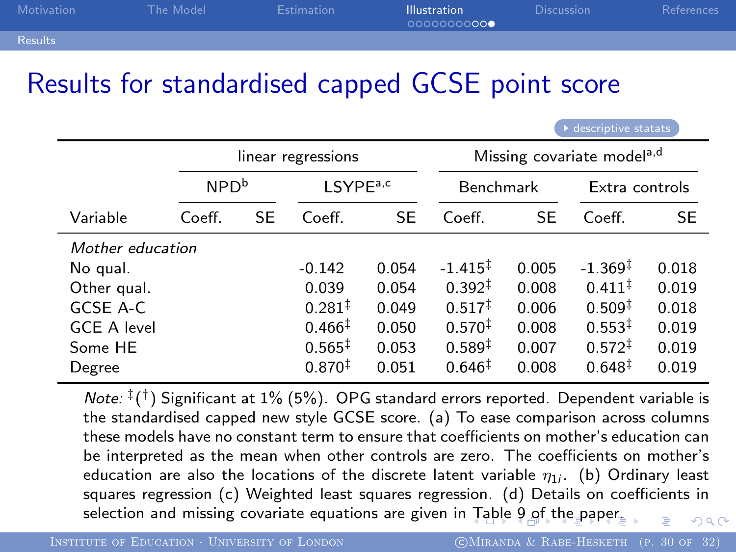| Motivation     | The Model | <b>Estimation</b> | <b>Illustration</b><br>00000000000 | <b>Discussion</b> | References |
|----------------|-----------|-------------------|------------------------------------|-------------------|------------|
| <b>Results</b> |           |                   |                                    |                   |            |

### Results for standardised capped GCSE point score

|                    | linear regressions |    |                      | Missing covariate model <sup>a,d</sup> |                    |           |                     |           |
|--------------------|--------------------|----|----------------------|----------------------------------------|--------------------|-----------|---------------------|-----------|
|                    | NPD <sup>b</sup>   |    | LSYPE <sup>a,c</sup> |                                        | <b>Benchmark</b>   |           | Extra controls      |           |
| Variable           | Coeff.             | SE | Coeff.               | <b>SE</b>                              | Coeff.             | <b>SE</b> | Coeff.              | <b>SE</b> |
|                    | Mother education   |    |                      |                                        |                    |           |                     |           |
| No qual.           |                    |    | $-0.142$             | 0.054                                  | $-1.415+$          | 0.005     | $-1.369^{\ddagger}$ | 0.018     |
| Other qual.        |                    |    | 0.039                | 0.054                                  | $0.392^{\ddagger}$ | 0.008     | $0.411^{\ddagger}$  | 0.019     |
| GCSE A-C           |                    |    | $0.281^{\ddagger}$   | 0.049                                  | $0.517^{\ddagger}$ | 0.006     | $0.509^{\ddagger}$  | 0.018     |
| <b>GCE A level</b> |                    |    | $0.466^{\ddagger}$   | 0.050                                  | $0.570^{+}$        | 0.008     | $0.553^{\ddagger}$  | 0.019     |
| Some HE            |                    |    | $0.565^{\ddagger}$   | 0.053                                  | $0.589*$           | 0.007     | $0.572^{\ddagger}$  | 0.019     |
| Degree             |                    |    | $0.870*$             | 0.051                                  | $0.646^{\ddagger}$ | 0.008     | $0.648^{\ddagger}$  | 0.019     |

Note:  $^{\ddagger}$ ( $^{\dagger}$ ) Significant at 1% (5%). OPG standard errors reported. Dependent variable is the standardised capped new style GCSE score. (a) To ease comparison across columns these models have no constant term to ensure that coefficients on mother's education can be interpreted as the mean when other controls are zero. The coefficients on mother's education are also the locations of the discrete latent variable  $\eta_{1i}.$  (b) Ordinary least squares regression (c) Weighted least squares regression. (d) Details on coefficients in selection and missing covariate equations are given in [Ta](#page-28-1)[ble](#page-30-0) [9](#page-28-1) [of](#page-29-0) [t](#page-30-0)[h](#page-26-0)[e](#page-27-0) [p](#page-29-0)[a](#page-30-0)[pe](#page-15-0)[r.](#page-16-0)  $0<sup>0</sup>$ 

<span id="page-29-0"></span>[descriptive statats](#page-23-1)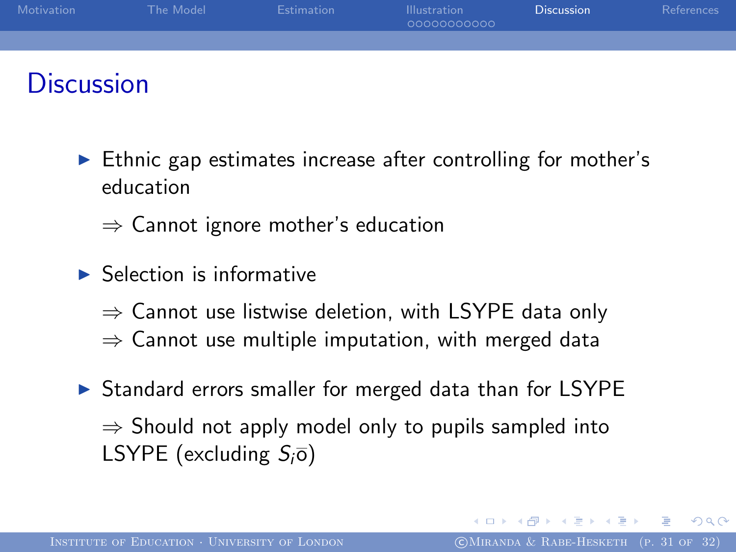

### **Discussion**

- $\blacktriangleright$  Ethnic gap estimates increase after controlling for mother's education
	- $\Rightarrow$  Cannot ignore mother's education
- $\blacktriangleright$  Selection is informative
	- $\Rightarrow$  Cannot use listwise deletion, with LSYPE data only
	- $\Rightarrow$  Cannot use multiple imputation, with merged data
- <span id="page-30-0"></span> $\triangleright$  Standard errors smaller for merged data than for LSYPE  $\Rightarrow$  Should not apply model only to pupils sampled into LSYPE (excluding  $S_i\overline{o}$ )